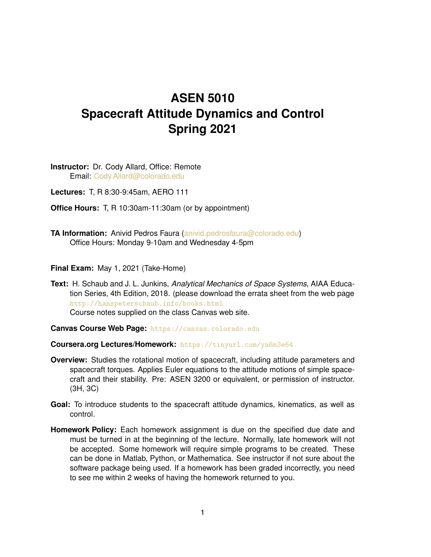## **ASEN 5010 Spacecraft Attitude Dynamics and Control Spring 2021**

**Instructor:** Dr. Cody Allard, Office: Remote Email: [Cody.Allard@colorado.edu](mailto:Cody.Allard@colorado.edu)

**Lectures:** T, R 8:30-9:45am, AERO 111

**Office Hours:** T, R 10:30am-11:30am (or by appointment)

**TA Information:** Anivid Pedros Faura [\(anivid.pedrosfaura@colorado.edu\)](mailto:anivid.pedrosfaura@colorado.edu) Office Hours: Monday 9-10am and Wednesday 4-5pm

**Final Exam:** May 1, 2021 (Take-Home)

**Text:** H. Schaub and J. L. Junkins, *Analytical Mechanics of Space Systems*, AIAA Education Series, 4th Edition, 2018. (please download the errata sheet from the web page <http://hanspeterschaub.info/books.html> Course notes supplied on the class Canvas web site.

**Canvas Course Web Page:** <https://canvas.colorado.edu>

**Coursera.org Lectures/Homework:** <https://tinyurl.com/ya6m3e64>

- **Overview:** Studies the rotational motion of spacecraft, including attitude parameters and spacecraft torques. Applies Euler equations to the attitude motions of simple spacecraft and their stability. Pre: ASEN 3200 or equivalent, or permission of instructor. (3H, 3C)
- **Goal:** To introduce students to the spacecraft attitude dynamics, kinematics, as well as control.
- **Homework Policy:** Each homework assignment is due on the specified due date and must be turned in at the beginning of the lecture. Normally, late homework will not be accepted. Some homework will require simple programs to be created. These can be done in Matlab, Python, or Mathematica. See instructor if not sure about the software package being used. If a homework has been graded incorrectly, you need to see me within 2 weeks of having the homework returned to you.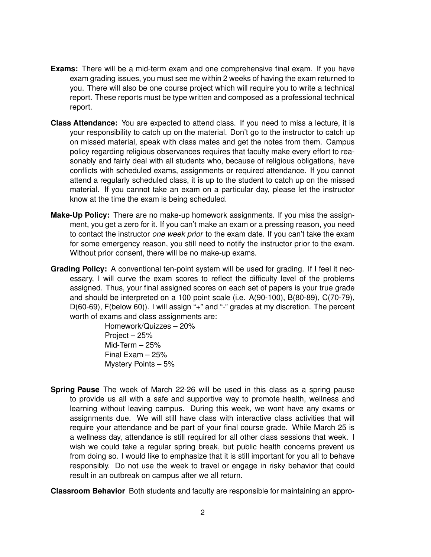- **Exams:** There will be a mid-term exam and one comprehensive final exam. If you have exam grading issues, you must see me within 2 weeks of having the exam returned to you. There will also be one course project which will require you to write a technical report. These reports must be type written and composed as a professional technical report.
- **Class Attendance:** You are expected to attend class. If you need to miss a lecture, it is your responsibility to catch up on the material. Don't go to the instructor to catch up on missed material, speak with class mates and get the notes from them. Campus policy regarding religious observances requires that faculty make every effort to reasonably and fairly deal with all students who, because of religious obligations, have conflicts with scheduled exams, assignments or required attendance. If you cannot attend a regularly scheduled class, it is up to the student to catch up on the missed material. If you cannot take an exam on a particular day, please let the instructor know at the time the exam is being scheduled.
- **Make-Up Policy:** There are no make-up homework assignments. If you miss the assignment, you get a zero for it. If you can't make an exam or a pressing reason, you need to contact the instructor *one week prior* to the exam date. If you can't take the exam for some emergency reason, you still need to notify the instructor prior to the exam. Without prior consent, there will be no make-up exams.
- **Grading Policy:** A conventional ten-point system will be used for grading. If I feel it necessary, I will curve the exam scores to reflect the difficulty level of the problems assigned. Thus, your final assigned scores on each set of papers is your true grade and should be interpreted on a 100 point scale (i.e. A(90-100), B(80-89), C(70-79), D(60-69), F(below 60)). I will assign "+" and "-" grades at my discretion. The percent worth of exams and class assignments are:

Homework/Quizzes – 20% Project – 25% Mid-Term – 25% Final Exam – 25% Mystery Points – 5%

**Spring Pause** The week of March 22-26 will be used in this class as a spring pause to provide us all with a safe and supportive way to promote health, wellness and learning without leaving campus. During this week, we wont have any exams or assignments due. We will still have class with interactive class activities that will require your attendance and be part of your final course grade. While March 25 is a wellness day, attendance is still required for all other class sessions that week. I wish we could take a regular spring break, but public health concerns prevent us from doing so. I would like to emphasize that it is still important for you all to behave responsibly. Do not use the week to travel or engage in risky behavior that could result in an outbreak on campus after we all return.

**Classroom Behavior** Both students and faculty are responsible for maintaining an appro-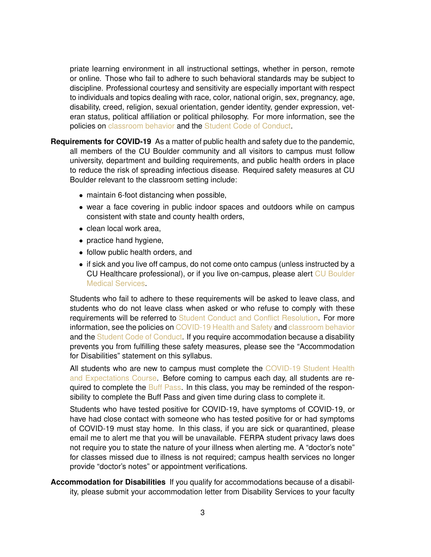priate learning environment in all instructional settings, whether in person, remote or online. Those who fail to adhere to such behavioral standards may be subject to discipline. Professional courtesy and sensitivity are especially important with respect to individuals and topics dealing with race, color, national origin, sex, pregnancy, age, disability, creed, religion, sexual orientation, gender identity, gender expression, veteran status, political affiliation or political philosophy. For more information, see the policies on [classroom behavior](http://www.colorado.edu/policies/student-classroom-and-course-related-behavior) and the [Student Code of Conduct.](https://www.colorado.edu/sccr/sites/default/files/attached-files/2020-2021_student_code_of_conduct_0.pdf)

- **Requirements for COVID-19** As a matter of public health and safety due to the pandemic, all members of the CU Boulder community and all visitors to campus must follow university, department and building requirements, and public health orders in place to reduce the risk of spreading infectious disease. Required safety measures at CU Boulder relevant to the classroom setting include:
	- maintain 6-foot distancing when possible,
	- wear a face covering in public indoor spaces and outdoors while on campus consistent with state and county health orders,
	- clean local work area,
	- practice hand hygiene,
	- follow public health orders, and
	- if sick and you live off campus, do not come onto campus (unless instructed by a CU Healthcare professional), or if you live on-campus, please alert [CU Boulder](https://www.colorado.edu/healthcenter/coronavirus-updates/symptoms-and-what-do-if-you-feel-sick) [Medical Services.](https://www.colorado.edu/healthcenter/coronavirus-updates/symptoms-and-what-do-if-you-feel-sick)

Students who fail to adhere to these requirements will be asked to leave class, and students who do not leave class when asked or who refuse to comply with these requirements will be referred to [Student Conduct and Conflict Resolution.](https://www.colorado.edu/sccr/) For more information, see the policies on [COVID-19 Health and Safety](https://www.colorado.edu/policies/covid-19-health-and-safety-policy) and [classroom behavior](https://www.colorado.edu/policies/student-classroom-course-related-behavior) and the [Student Code of Conduct.](https://www.colorado.edu/sccr/) If you require accommodation because a disability prevents you from fulfilling these safety measures, please see the "Accommodation for Disabilities" statement on this syllabus.

All students who are new to campus must complete the [COVID-19 Student Health](https://www.colorado.edu/protect-our-herd/how#anchor1) [and Expectations Course.](https://www.colorado.edu/protect-our-herd/how#anchor1) Before coming to campus each day, all students are re-quired to complete the [Buff Pass.](https://pass.colorado.edu/login) In this class, you may be reminded of the responsibility to complete the Buff Pass and given time during class to complete it.

Students who have tested positive for COVID-19, have symptoms of COVID-19, or have had close contact with someone who has tested positive for or had symptoms of COVID-19 must stay home. In this class, if you are sick or quarantined, please email me to alert me that you will be unavailable. FERPA student privacy laws does not require you to state the nature of your illness when alerting me. A "doctor's note" for classes missed due to illness is not required; campus health services no longer provide "doctor's notes" or appointment verifications.

**Accommodation for Disabilities** If you qualify for accommodations because of a disability, please submit your accommodation letter from Disability Services to your faculty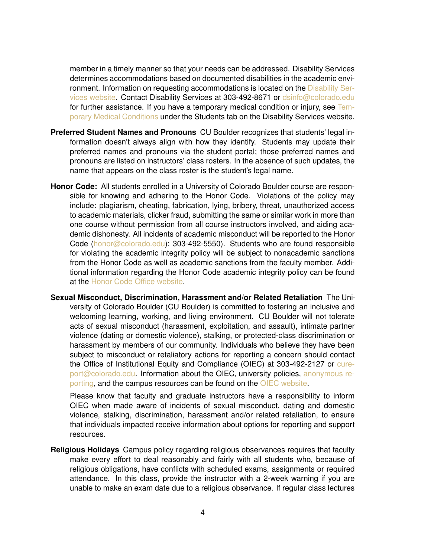member in a timely manner so that your needs can be addressed. Disability Services determines accommodations based on documented disabilities in the academic environment. Information on requesting accommodations is located on the [Disability Ser](https://www.colorado.edu/disabilityservices/students)[vices website.](https://www.colorado.edu/disabilityservices/students) Contact Disability Services at 303-492-8671 or [dsinfo@colorado.edu](mailto:dsinfo@colorado.edu) for further assistance. If you have a temporary medical condition or injury, see [Tem](http://www.colorado.edu/disabilityservices/students/temporary-medical-conditions)[porary Medical Conditions](http://www.colorado.edu/disabilityservices/students/temporary-medical-conditions) under the Students tab on the Disability Services website.

- **Preferred Student Names and Pronouns** CU Boulder recognizes that students' legal information doesn't always align with how they identify. Students may update their preferred names and pronouns via the student portal; those preferred names and pronouns are listed on instructors' class rosters. In the absence of such updates, the name that appears on the class roster is the student's legal name.
- **Honor Code:** All students enrolled in a University of Colorado Boulder course are responsible for knowing and adhering to the Honor Code. Violations of the policy may include: plagiarism, cheating, fabrication, lying, bribery, threat, unauthorized access to academic materials, clicker fraud, submitting the same or similar work in more than one course without permission from all course instructors involved, and aiding academic dishonesty. All incidents of academic misconduct will be reported to the Honor Code [\(honor@colorado.edu\)](mailto:honor@colorado.edu); 303-492-5550). Students who are found responsible for violating the academic integrity policy will be subject to nonacademic sanctions from the Honor Code as well as academic sanctions from the faculty member. Additional information regarding the Honor Code academic integrity policy can be found at the [Honor Code Office website.](https://www.colorado.edu/osccr/honor-code)
- **Sexual Misconduct, Discrimination, Harassment and/or Related Retaliation** The University of Colorado Boulder (CU Boulder) is committed to fostering an inclusive and welcoming learning, working, and living environment. CU Boulder will not tolerate acts of sexual misconduct (harassment, exploitation, and assault), intimate partner violence (dating or domestic violence), stalking, or protected-class discrimination or harassment by members of our community. Individuals who believe they have been subject to misconduct or retaliatory actions for reporting a concern should contact the Office of Institutional Equity and Compliance (OIEC) at 303-492-2127 or [cure](mailto:cureport@colorado.edu)[port@colorado.edu.](mailto:cureport@colorado.edu) Information about the OIEC, university policies, [anonymous re](https://cuboulder.qualtrics.com/jfe/form/SV_0PnqVK4kkIJIZnf)[porting,](https://cuboulder.qualtrics.com/jfe/form/SV_0PnqVK4kkIJIZnf) and the campus resources can be found on the [OIEC website.](http://www.colorado.edu/institutionalequity/)

Please know that faculty and graduate instructors have a responsibility to inform OIEC when made aware of incidents of sexual misconduct, dating and domestic violence, stalking, discrimination, harassment and/or related retaliation, to ensure that individuals impacted receive information about options for reporting and support resources.

**Religious Holidays** Campus policy regarding religious observances requires that faculty make every effort to deal reasonably and fairly with all students who, because of religious obligations, have conflicts with scheduled exams, assignments or required attendance. In this class, provide the instructor with a 2-week warning if you are unable to make an exam date due to a religious observance. If regular class lectures